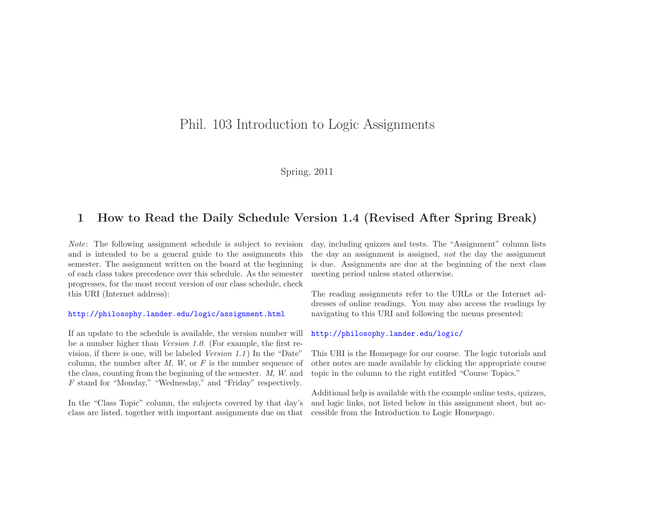## Phil. <sup>103</sup> Introduction to Logic Assignments

### Spring, <sup>2011</sup>

## <sup>1</sup> How to Read the Daily Schedule Version 1.4 (Revised After Spring Break)

Note: The following assignment schedule is subject to revision and is intended to be <sup>a</sup> genera<sup>l</sup> guide to the assignments this semester. The assignment written on the board at the beginning of each class takes precedence over this schedule. As the semester progresses, for the most recent version of our class schedule, checkthis URI (Internet address):

#### <http://philosophy.lander.edu/logic/assignment.html>

If an update to the schedule is available, the version number will be <sup>a</sup> number higher than Version 1.0. (For example, the first revision, if there is one, will be labeled *Version*  $1.1$ ) In the "Date" column, the number after  $M$ ,  $W$ , or  $F$  is the number sequence of the class, counting from the beginning of the semester. M, <sup>W</sup>. andF stand for "Monday," "Wednesday," and "Friday" respectively.

In the "Class Topic" column, the subjects covered by that day'sclass are listed, together with important assignments due on that

day, including quizzes and tests. The "Assignment" column liststhe day an assignment is assigned, not the day the assignment is due. Assignments are due at the beginning of the next classmeeting period unless stated otherwise.

The reading assignments refer to the URLs or the Internet addresses of online readings. You may also access the readings bynavigating to this URI and following the menus presented:

#### <http://philosophy.lander.edu/logic/>

This URI is the Homepage for our course. The logic tutorials and other notes are made available by clicking the appropriate coursetopic in the column to the right entitled "Course Topics."

Additional help is available with the example online tests, quizzes, and logic links, not listed below in this assignment sheet, but accessible from the Introduction to Logic Homepage.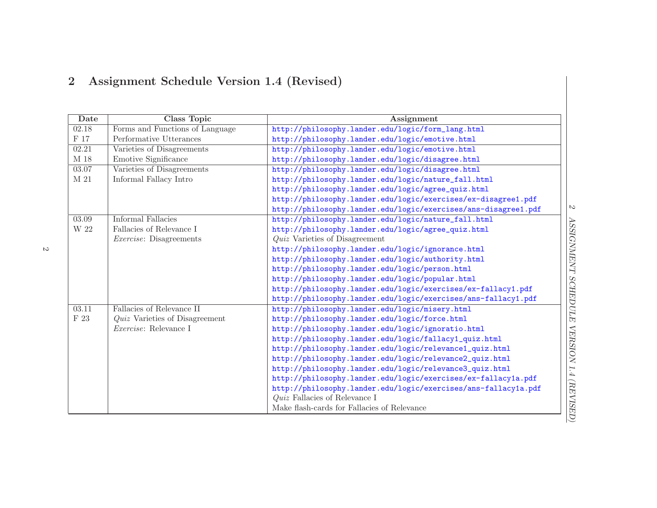# <sup>2</sup> Assignment Schedule Version 1.4 (Revised)

| Date            | <b>Class Topic</b>               | Assignment                                                     |
|-----------------|----------------------------------|----------------------------------------------------------------|
| 02.18           | Forms and Functions of Language  | http://philosophy.lander.edu/logic/form_lang.html              |
| $\rm F$ 17      | Performative Utterances          | http://philosophy.lander.edu/logic/emotive.html                |
| 02.21           | Varieties of Disagreements       | http://philosophy.lander.edu/logic/emotive.html                |
| M 18            | Emotive Significance             | http://philosophy.lander.edu/logic/disagree.html               |
| 03.07           | Varieties of Disagreements       | http://philosophy.lander.edu/logic/disagree.html               |
| $\mathbf{M}$ 21 | Informal Fallacy Intro           | http://philosophy.lander.edu/logic/nature_fall.html            |
|                 |                                  | http://philosophy.lander.edu/logic/agree_quiz.html             |
|                 |                                  | http://philosophy.lander.edu/logic/exercises/ex-disagree1.pdf  |
|                 |                                  | http://philosophy.lander.edu/logic/exercises/ans-disagree1.pdf |
| 03.09           | Informal Fallacies               | http://philosophy.lander.edu/logic/nature_fall.html            |
| W 22            | Fallacies of Relevance I         | http://philosophy.lander.edu/logic/agree_quiz.html             |
|                 | <i>Exercise</i> : Disagreements  | <i>Quiz</i> Varieties of Disagreement                          |
|                 |                                  | http://philosophy.lander.edu/logic/ignorance.html              |
|                 |                                  | http://philosophy.lander.edu/logic/authority.html              |
|                 |                                  | http://philosophy.lander.edu/logic/person.html                 |
|                 |                                  | http://philosophy.lander.edu/logic/popular.html                |
|                 |                                  | http://philosophy.lander.edu/logic/exercises/ex-fallacy1.pdf   |
|                 |                                  | http://philosophy.lander.edu/logic/exercises/ans-fallacy1.pdf  |
| 03.11           | Fallacies of Relevance II        | http://philosophy.lander.edu/logic/misery.html                 |
| $\mathrm{F}$ 23 | $Quiz$ Varieties of Disagreement | http://philosophy.lander.edu/logic/force.html                  |
|                 | <i>Exercise:</i> Relevance I     | http://philosophy.lander.edu/logic/ignoratio.html              |
|                 |                                  | http://philosophy.lander.edu/logic/fallacy1_quiz.html          |
|                 |                                  | http://philosophy.lander.edu/logic/relevance1_quiz.html        |
|                 |                                  | http://philosophy.lander.edu/logic/relevance2_quiz.html        |
|                 |                                  | http://philosophy.lander.edu/logic/relevance3_quiz.html        |
|                 |                                  | http://philosophy.lander.edu/logic/exercises/ex-fallacy1a.pdf  |
|                 |                                  | http://philosophy.lander.edu/logic/exercises/ans-fallacy1a.pdf |
|                 |                                  | $Quiz$ Fallacies of Relevance I                                |
|                 |                                  | Make flash-cards for Fallacies of Relevance                    |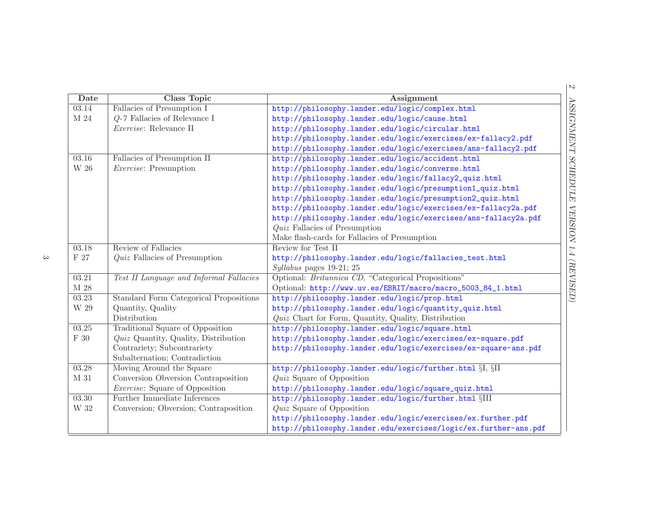| Date                       | <b>Class Topic</b>                            | <b>Assignment</b>                                               |
|----------------------------|-----------------------------------------------|-----------------------------------------------------------------|
| 03.14                      | Fallacies of Presumption I                    | http://philosophy.lander.edu/logic/complex.html                 |
| $\mathbf{M}$ 24            | $Q-7$ Fallacies of Relevance I                | http://philosophy.lander.edu/logic/cause.html                   |
|                            | Exercise: Relevance II                        | http://philosophy.lander.edu/logic/circular.html                |
|                            |                                               | http://philosophy.lander.edu/logic/exercises/ex-fallacy2.pdf    |
|                            |                                               | http://philosophy.lander.edu/logic/exercises/ans-fallacy2.pdf   |
| 03.16                      | Fallacies of Presumption II                   | http://philosophy.lander.edu/logic/accident.html                |
| $\ensuremath{\text{W}}$ 26 | <i>Exercise:</i> Presumption                  | http://philosophy.lander.edu/logic/converse.html                |
|                            |                                               | http://philosophy.lander.edu/logic/fallacy2_quiz.html           |
|                            |                                               | http://philosophy.lander.edu/logic/presumption1_quiz.html       |
|                            |                                               | http://philosophy.lander.edu/logic/presumption2_quiz.html       |
|                            |                                               | http://philosophy.lander.edu/logic/exercises/ex-fallacy2a.pdf   |
|                            |                                               | http://philosophy.lander.edu/logic/exercises/ans-fallacy2a.pdf  |
|                            |                                               | $Quiz$ Fallacies of Presumption                                 |
|                            |                                               | Make flash-cards for Fallacies of Presumption                   |
| 03.18                      | Review of Fallacies                           | Review for Test II                                              |
| $\rm F$ 27                 | $Quiz$ Fallacies of Presumption               | http://philosophy.lander.edu/logic/fallacies_test.html          |
|                            |                                               | $Syllabus$ pages 19-21; 25                                      |
| 03.21                      | Test II Language and Informal Fallacies       | Optional: <i>Britannica CD</i> , "Categorical Propositions"     |
| $\mathbf{M}$ 28            |                                               | Optional: http://www.uv.es/EBRIT/macro/macro_5003_84_1.html     |
| 03.23                      | <b>Standard Form Categorical Propositions</b> | http://philosophy.lander.edu/logic/prop.html                    |
| W 29                       | Quantity, Quality                             | http://philosophy.lander.edu/logic/quantity_quiz.html           |
|                            | Distribution                                  | $Quiz$ Chart for Form, Quantity, Quality, Distribution          |
| 03.25                      | <b>Traditional Square of Opposition</b>       | http://philosophy.lander.edu/logic/square.html                  |
| $\mathrm{F}$ 30            | Quiz Quantity, Quality, Distribution          | http://philosophy.lander.edu/logic/exercises/ex-square.pdf      |
|                            | Contrariety; Subcontrariety                   | http://philosophy.lander.edu/logic/exercises/ex-square-ans.pdf  |
|                            | Subalternation; Contradiction                 |                                                                 |
| 03.28                      | Moving Around the Square                      | http://philosophy.lander.edu/logic/further.html §I, §II         |
| M 31                       | Conversion Obversion Contraposition           | <i>Quiz</i> Square of Opposition                                |
|                            | <i>Exercise:</i> Square of Opposition         | http://philosophy.lander.edu/logic/square_quiz.html             |
| 03.30                      | Further Immediate Inferences                  | http://philosophy.lander.edu/logic/further.html §III            |
| $\rm W$ 32                 | Conversion; Obversion; Contraposition         | <i>Quiz</i> Square of Opposition                                |
|                            |                                               | http://philosophy.lander.edu/logic/exercises/ex.further.pdf     |
|                            |                                               | http://philosophy.lander.edu/exercises/logic/ex.further-ans.pdf |

 $\rm{c}$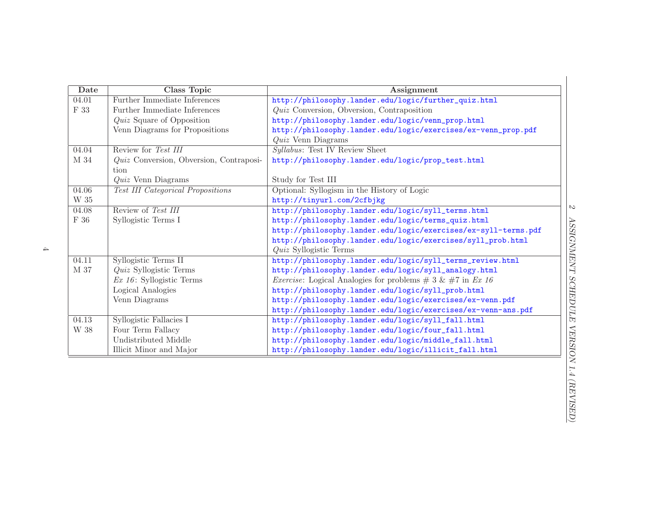| Date            | Class Topic                              | Assignment                                                              |
|-----------------|------------------------------------------|-------------------------------------------------------------------------|
| 04.01           | Further Immediate Inferences             | http://philosophy.lander.edu/logic/further_quiz.html                    |
| F 33            | Further Immediate Inferences             | $Quiz$ Conversion, Obversion, Contraposition                            |
|                 | <i>Quiz</i> Square of Opposition         | http://philosophy.lander.edu/logic/venn_prop.html                       |
|                 | Venn Diagrams for Propositions           | http://philosophy.lander.edu/logic/exercises/ex-venn_prop.pdf           |
|                 |                                          | $Quiz$ Venn Diagrams                                                    |
| 04.04           | Review for Test III                      | Syllabus: Test IV Review Sheet                                          |
| M 34            | Quiz Conversion, Obversion, Contraposi-  | http://philosophy.lander.edu/logic/prop_test.html                       |
|                 | tion                                     |                                                                         |
|                 | $Quiz$ Venn Diagrams                     | Study for Test III                                                      |
| 04.06           | <b>Test III Categorical Propositions</b> | Optional: Syllogism in the History of Logic                             |
| W 35            |                                          | http://tinyurl.com/2cfbjkg                                              |
| 04.08           | Review of Test III                       | http://philosophy.lander.edu/logic/syll_terms.html                      |
| $\mathrm{F}$ 36 | Syllogistic Terms I                      | http://philosophy.lander.edu/logic/terms_quiz.html                      |
|                 |                                          | http://philosophy.lander.edu/logic/exercises/ex-syll-terms.pdf          |
|                 |                                          | http://philosophy.lander.edu/logic/exercises/syll_prob.html             |
|                 |                                          | <i>Quiz</i> Syllogistic Terms                                           |
| 04.11           | Syllogistic Terms II                     | http://philosophy.lander.edu/logic/syll_terms_review.html               |
| M 37            | <i>Quiz</i> Syllogistic Terms            | http://philosophy.lander.edu/logic/syll_analogy.html                    |
|                 | $Ex\ 16$ : Syllogistic Terms             | <i>Exercise:</i> Logical Analogies for problems $\# 3 \& \# 7$ in Ex 16 |
|                 | Logical Analogies                        | http://philosophy.lander.edu/logic/syll_prob.html                       |
|                 | Venn Diagrams                            | http://philosophy.lander.edu/logic/exercises/ex-venn.pdf                |
|                 |                                          | http://philosophy.lander.edu/logic/exercises/ex-venn-ans.pdf            |
| 04.13           | Syllogistic Fallacies I                  | http://philosophy.lander.edu/logic/syll_fall.html                       |
| W 38            | Four Term Fallacy                        | http://philosophy.lander.edu/logic/four_fall.html                       |
|                 | Undistributed Middle                     | http://philosophy.lander.edu/logic/middle_fall.html                     |
|                 | Illicit Minor and Major                  | http://philosophy.lander.edu/logic/illicit_fall.html                    |